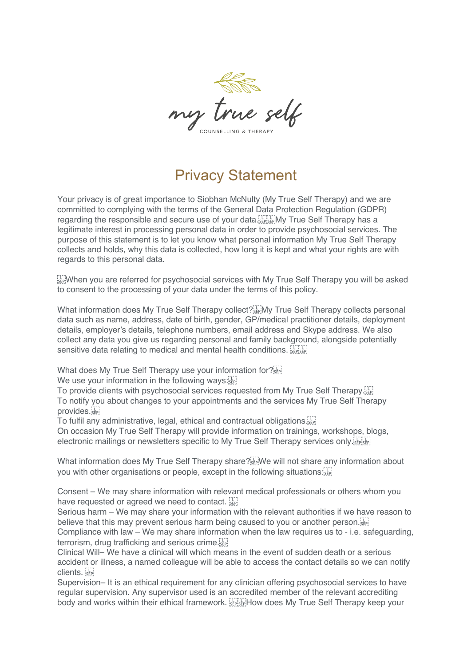

## Privacy Statement

Your privacy is of great importance to Siobhan McNulty (My True Self Therapy) and we are committed to complying with the terms of the General Data Protection Regulation (GDPR) regarding the responsible and secure use of your data. Fight My True Self Therapy has a legitimate interest in processing personal data in order to provide psychosocial services. The purpose of this statement is to let you know what personal information My True Self Therapy collects and holds, why this data is collected, how long it is kept and what your rights are with regards to this personal data.

 When you are referred for psychosocial services with My True Self Therapy you will be asked to consent to the processing of your data under the terms of this policy.

What information does My True Self Therapy collect?<sup>[17</sup>] My True Self Therapy collects personal data such as name, address, date of birth, gender, GP/medical practitioner details, deployment details, employer's details, telephone numbers, email address and Skype address. We also collect any data you give us regarding personal and family background, alongside potentially sensitive data relating to medical and mental health conditions. Supposed

What does My True Self Therapy use your information for?

We use your information in the following ways:

To provide clients with psychosocial services requested from My True Self Therapy. To notify you about changes to your appointments and the services My True Self Therapy provides.

To fulfil any administrative, legal, ethical and contractual obligations.

On occasion My True Self Therapy will provide information on trainings, workshops, blogs, electronic mailings or newsletters specific to My True Self Therapy services only.

What information does My True Self Therapy share? We will not share any information about you with other organisations or people, except in the following situations:

Consent – We may share information with relevant medical professionals or others whom you have requested or agreed we need to contact. [17]

Serious harm – We may share your information with the relevant authorities if we have reason to believe that this may prevent serious harm being caused to you or another person. Compliance with law – We may share information when the law requires us to - i.e. safeguarding,

terrorism, drug trafficking and serious crime. Clinical Will– We have a clinical will which means in the event of sudden death or a serious accident or illness, a named colleague will be able to access the contact details so we can notify clients.

Supervision– It is an ethical requirement for any clinician offering psychosocial services to have regular supervision. Any supervisor used is an accredited member of the relevant accrediting body and works within their ethical framework. Expresention does My True Self Therapy keep your